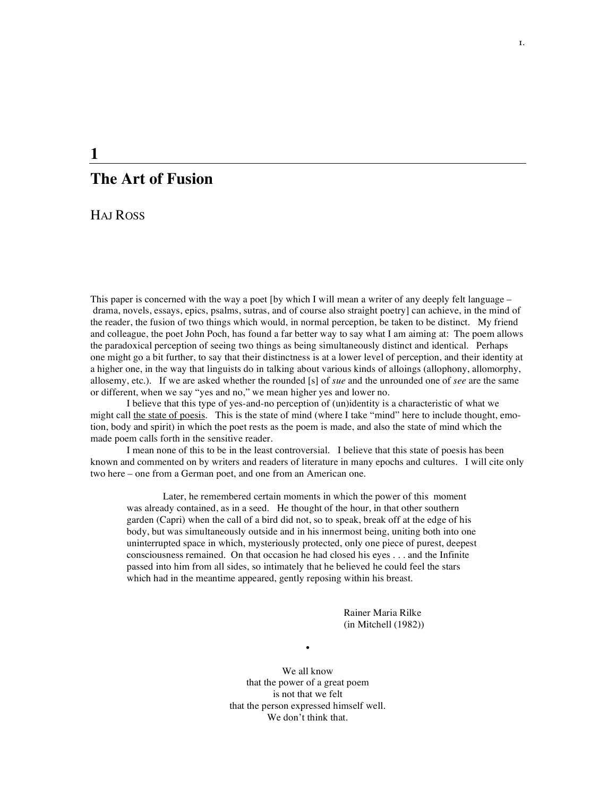# **The Art of Fusion**

HAJ ROSS

**1**

This paper is concerned with the way a poet [by which I will mean a writer of any deeply felt language – drama, novels, essays, epics, psalms, sutras, and of course also straight poetry] can achieve, in the mind of the reader, the fusion of two things which would, in normal perception, be taken to be distinct. My friend and colleague, the poet John Poch, has found a far better way to say what I am aiming at: The poem allows the paradoxical perception of seeing two things as being simultaneously distinct and identical. Perhaps one might go a bit further, to say that their distinctness is at a lower level of perception, and their identity at a higher one, in the way that linguists do in talking about various kinds of alloings (allophony, allomorphy, allosemy, etc.). If we are asked whether the rounded [s] of *sue* and the unrounded one of *see* are the same or different, when we say "yes and no," we mean higher yes and lower no.

I believe that this type of yes-and-no perception of (un)identity is a characteristic of what we might call the state of poesis. This is the state of mind (where I take "mind" here to include thought, emotion, body and spirit) in which the poet rests as the poem is made, and also the state of mind which the made poem calls forth in the sensitive reader.

I mean none of this to be in the least controversial. I believe that this state of poesis has been known and commented on by writers and readers of literature in many epochs and cultures. I will cite only two here – one from a German poet, and one from an American one.

Later, he remembered certain moments in which the power of this moment was already contained, as in a seed. He thought of the hour, in that other southern garden (Capri) when the call of a bird did not, so to speak, break off at the edge of his body, but was simultaneously outside and in his innermost being, uniting both into one uninterrupted space in which, mysteriously protected, only one piece of purest, deepest consciousness remained. On that occasion he had closed his eyes . . . and the Infinite passed into him from all sides, so intimately that he believed he could feel the stars which had in the meantime appeared, gently reposing within his breast.

> Rainer Maria Rilke (in Mitchell (1982))

**•**

We all know that the power of a great poem is not that we felt that the person expressed himself well. We don't think that.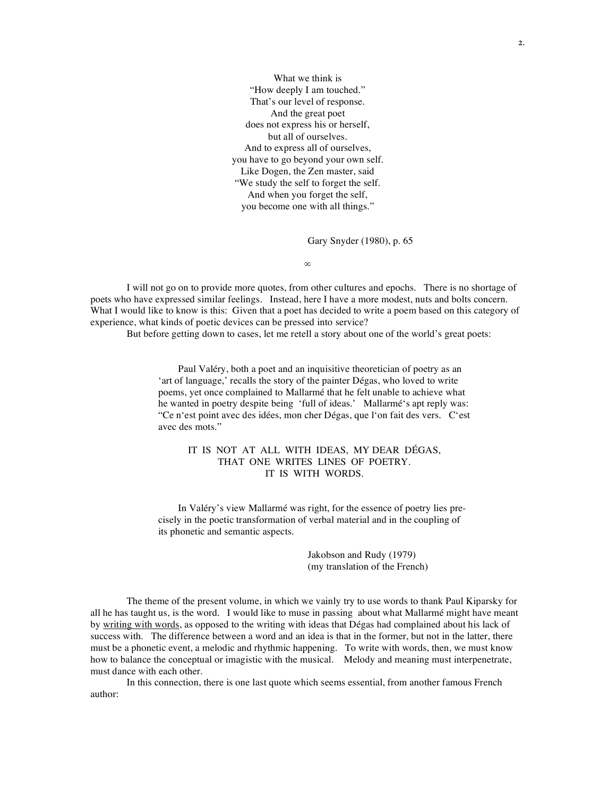What we think is "How deeply I am touched." That's our level of response. And the great poet does not express his or herself, but all of ourselves. And to express all of ourselves, you have to go beyond your own self. Like Dogen, the Zen master, said "We study the self to forget the self. And when you forget the self, you become one with all things."

Gary Snyder (1980), p. 65

∞

I will not go on to provide more quotes, from other cultures and epochs. There is no shortage of poets who have expressed similar feelings. Instead, here I have a more modest, nuts and bolts concern. What I would like to know is this: Given that a poet has decided to write a poem based on this category of experience, what kinds of poetic devices can be pressed into service?

But before getting down to cases, let me retell a story about one of the world's great poets:

Paul Valéry, both a poet and an inquisitive theoretician of poetry as an 'art of language,' recalls the story of the painter Dégas, who loved to write poems, yet once complained to Mallarmé that he felt unable to achieve what he wanted in poetry despite being 'full of ideas.' Mallarmé's apt reply was: "Ce n'est point avec des idées, mon cher Dégas, que l'on fait des vers. C'est avec des mots."

# IT IS NOT AT ALL WITH IDEAS, MY DEAR DÉGAS, THAT ONE WRITES LINES OF POETRY. IT IS WITH WORDS.

In Valéry's view Mallarmé was right, for the essence of poetry lies precisely in the poetic transformation of verbal material and in the coupling of its phonetic and semantic aspects.

> Jakobson and Rudy (1979) (my translation of the French)

The theme of the present volume, in which we vainly try to use words to thank Paul Kiparsky for all he has taught us, is the word. I would like to muse in passing about what Mallarmé might have meant by writing with words, as opposed to the writing with ideas that Dégas had complained about his lack of success with. The difference between a word and an idea is that in the former, but not in the latter, there must be a phonetic event, a melodic and rhythmic happening. To write with words, then, we must know how to balance the conceptual or imagistic with the musical. Melody and meaning must interpenetrate, must dance with each other.

In this connection, there is one last quote which seems essential, from another famous French author: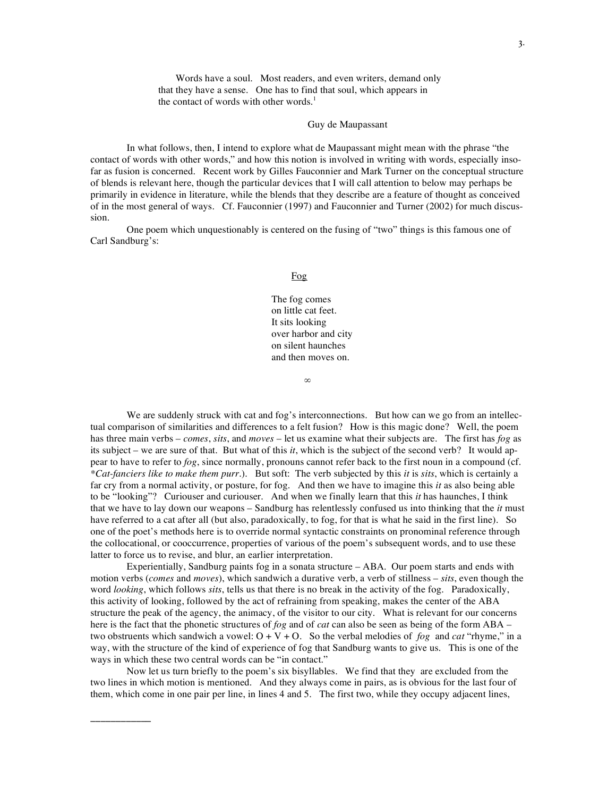Words have a soul. Most readers, and even writers, demand only that they have a sense. One has to find that soul, which appears in the contact of words with other words. 1

### Guy de Maupassant

In what follows, then, I intend to explore what de Maupassant might mean with the phrase "the contact of words with other words," and how this notion is involved in writing with words, especially insofar as fusion is concerned. Recent work by Gilles Fauconnier and Mark Turner on the conceptual structure of blends is relevant here, though the particular devices that I will call attention to below may perhaps be primarily in evidence in literature, while the blends that they describe are a feature of thought as conceived of in the most general of ways. Cf. Fauconnier (1997) and Fauconnier and Turner (2002) for much discussion.

One poem which unquestionably is centered on the fusing of "two" things is this famous one of Carl Sandburg's:

## Fog

The fog comes on little cat feet. It sits looking over harbor and city on silent haunches and then moves on.

∞

We are suddenly struck with cat and fog's interconnections. But how can we go from an intellectual comparison of similarities and differences to a felt fusion? How is this magic done? Well, the poem has three main verbs – *comes*, *sits*, and *moves* – let us examine what their subjects are. The first has *fog* as its subject – we are sure of that. But what of this *it*, which is the subject of the second verb? It would appear to have to refer to *fog*, since normally, pronouns cannot refer back to the first noun in a compound (cf. *\*Cat-fanciers like to make them purr*.). But soft: The verb subjected by this *it* is *sits*, which is certainly a far cry from a normal activity, or posture, for fog. And then we have to imagine this *it* as also being able to be "looking"? Curiouser and curiouser. And when we finally learn that this *it* has haunches, I think that we have to lay down our weapons – Sandburg has relentlessly confused us into thinking that the *it* must have referred to a cat after all (but also, paradoxically, to fog, for that is what he said in the first line). So one of the poet's methods here is to override normal syntactic constraints on pronominal reference through the collocational, or cooccurrence, properties of various of the poem's subsequent words, and to use these latter to force us to revise, and blur, an earlier interpretation.

Experientially, Sandburg paints fog in a sonata structure – ABA. Our poem starts and ends with motion verbs (*comes* and *moves*), which sandwich a durative verb, a verb of stillness – *sits*, even though the word *looking*, which follows *sits*, tells us that there is no break in the activity of the fog. Paradoxically, this activity of looking, followed by the act of refraining from speaking, makes the center of the ABA structure the peak of the agency, the animacy, of the visitor to our city. What is relevant for our concerns here is the fact that the phonetic structures of *fog* and of *cat* can also be seen as being of the form ABA – two obstruents which sandwich a vowel: O + V + O. So the verbal melodies of *fog* and *cat* "rhyme," in a way, with the structure of the kind of experience of fog that Sandburg wants to give us. This is one of the ways in which these two central words can be "in contact."

Now let us turn briefly to the poem's six bisyllables. We find that they are excluded from the two lines in which motion is mentioned. And they always come in pairs, as is obvious for the last four of them, which come in one pair per line, in lines 4 and 5. The first two, while they occupy adjacent lines,

**\_\_\_\_\_\_\_\_\_\_\_\_**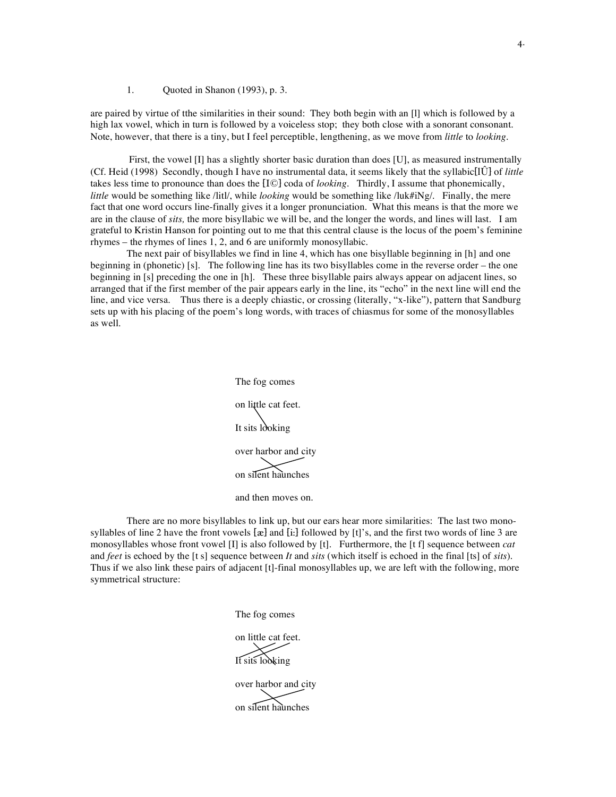## 1. Quoted in Shanon (1993), p. 3.

are paired by virtue of tthe similarities in their sound: They both begin with an [l] which is followed by a high lax vowel, which in turn is followed by a voiceless stop; they both close with a sonorant consonant. Note, however, that there is a tiny, but I feel perceptible, lengthening, as we move from *little* to *looking.*

First, the vowel [I] has a slightly shorter basic duration than does [U], as measured instrumentally (Cf. Heid (1998) Secondly, though I have no instrumental data, it seems likely that the syllabic[lÛ] of *little* takes less time to pronounce than does the [I©] coda of *looking*. Thirdly, I assume that phonemically, *little* would be something like /litl/, while *looking* would be something like /luk#iNg/. Finally, the mere fact that one word occurs line-finally gives it a longer pronunciation. What this means is that the more we are in the clause of *sits,* the more bisyllabic we will be, and the longer the words, and lines will last. I am grateful to Kristin Hanson for pointing out to me that this central clause is the locus of the poem's feminine rhymes – the rhymes of lines 1, 2, and 6 are uniformly monosyllabic.

The next pair of bisyllables we find in line 4, which has one bisyllable beginning in [h] and one beginning in (phonetic) [s]. The following line has its two bisyllables come in the reverse order – the one beginning in [s] preceding the one in [h]. These three bisyllable pairs always appear on adjacent lines, so arranged that if the first member of the pair appears early in the line, its "echo" in the next line will end the line, and vice versa. Thus there is a deeply chiastic, or crossing (literally, "x-like"), pattern that Sandburg sets up with his placing of the poem's long words, with traces of chiasmus for some of the monosyllables as well.

> The fog comes on little cat feet. It sits looking over harbor and city on silent haunches

There are no more bisyllables to link up, but our ears hear more similarities: The last two monosyllables of line 2 have the front vowels  $[x]$  and  $[i]$ ; followed by  $[t]'$ s, and the first two words of line 3 are monosyllables whose front vowel [I] is also followed by [t]. Furthermore, the [t f] sequence between *cat* and *feet* is echoed by the [t s] sequence between *It* and *sits* (which itself is echoed in the final [ts] of *sits*). Thus if we also link these pairs of adjacent [t]-final monosyllables up, we are left with the following, more symmetrical structure:

> The fog comes on little cat feet. It sits looking over harbor and city on silent haunches

and then moves on.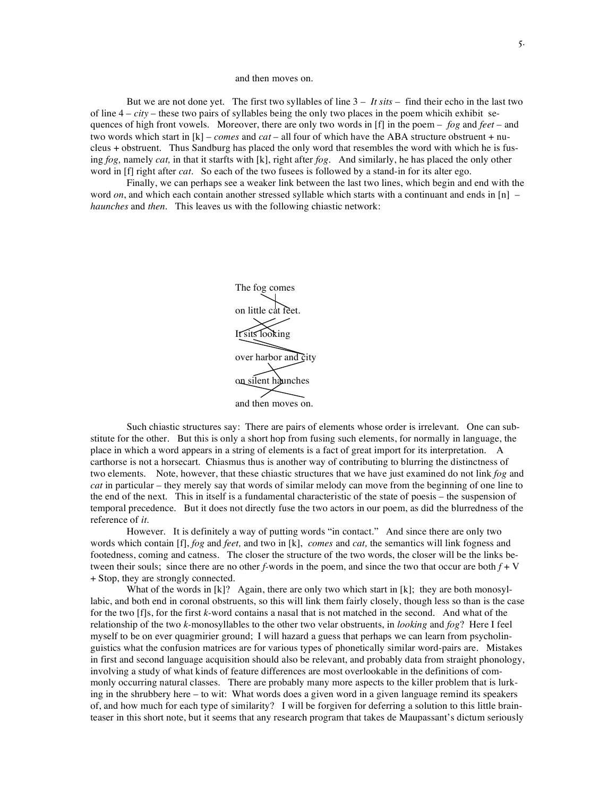#### and then moves on.

But we are not done yet. The first two syllables of line  $3 - It$  *sits* – find their echo in the last two of line 4 – *city* – these two pairs of syllables being the only two places in the poem whicih exhibit sequences of high front vowels. Moreover, there are only two words in [f] in the poem – *fog* and *feet* – and two words which start in [k] – *comes* and *cat* – all four of which have the ABA structure obstruent + nucleus + obstruent. Thus Sandburg has placed the only word that resembles the word with which he is fusing *fog,* namely *cat,* in that it starfts with [k], right after *fog.* And similarly, he has placed the only other word in [f] right after *cat*. So each of the two fusees is followed by a stand-in for its alter ego.

Finally, we can perhaps see a weaker link between the last two lines, which begin and end with the word *on*, and which each contain another stressed syllable which starts with a continuant and ends in [n] – *haunches* and *then*. This leaves us with the following chiastic network:



Such chiastic structures say: There are pairs of elements whose order is irrelevant. One can substitute for the other. But this is only a short hop from fusing such elements, for normally in language, the place in which a word appears in a string of elements is a fact of great import for its interpretation. A carthorse is not a horsecart. Chiasmus thus is another way of contributing to blurring the distinctness of two elements. Note, however, that these chiastic structures that we have just examined do not link *fog* and *cat* in particular – they merely say that words of similar melody can move from the beginning of one line to the end of the next. This in itself is a fundamental characteristic of the state of poesis – the suspension of temporal precedence. But it does not directly fuse the two actors in our poem, as did the blurredness of the reference of *it.*

However. It is definitely a way of putting words "in contact." And since there are only two words which contain [f], *fog* and *feet,* and two in [k], *comes* and *cat,* the semantics will link fogness and footedness, coming and catness. The closer the structure of the two words, the closer will be the links between their souls; since there are no other  $f$ -words in the poem, and since the two that occur are both  $f + V$ + Stop, they are strongly connected.

What of the words in  $[k]$ ? Again, there are only two which start in  $[k]$ ; they are both monosyllabic, and both end in coronal obstruents, so this will link them fairly closely, though less so than is the case for the two [f]s, for the first *k-*word contains a nasal that is not matched in the second. And what of the relationship of the two *k-*monosyllables to the other two velar obstruents, in *looking* and *fog*? Here I feel myself to be on ever quagmirier ground; I will hazard a guess that perhaps we can learn from psycholinguistics what the confusion matrices are for various types of phonetically similar word-pairs are. Mistakes in first and second language acquisition should also be relevant, and probably data from straight phonology, involving a study of what kinds of feature differences are most overlookable in the definitions of commonly occurring natural classes. There are probably many more aspects to the killer problem that is lurking in the shrubbery here – to wit: What words does a given word in a given language remind its speakers of, and how much for each type of similarity? I will be forgiven for deferring a solution to this little brainteaser in this short note, but it seems that any research program that takes de Maupassant's dictum seriously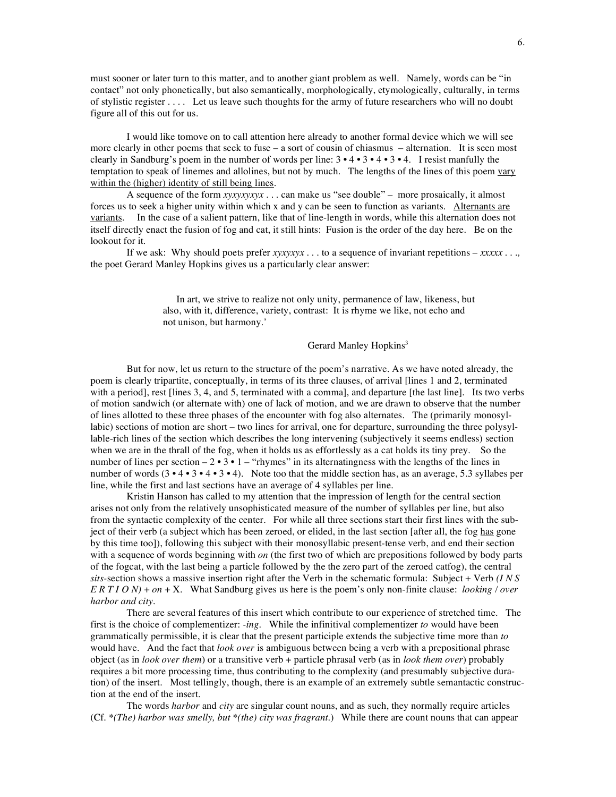must sooner or later turn to this matter, and to another giant problem as well. Namely, words can be "in contact" not only phonetically, but also semantically, morphologically, etymologically, culturally, in terms of stylistic register . . . . Let us leave such thoughts for the army of future researchers who will no doubt figure all of this out for us.

I would like tomove on to call attention here already to another formal device which we will see more clearly in other poems that seek to fuse – a sort of cousin of chiasmus – alternation. It is seen most clearly in Sandburg's poem in the number of words per line: 3 • 4 • 3 • 4 • 3 • 4. I resist manfully the temptation to speak of linemes and allolines, but not by much. The lengths of the lines of this poem vary within the (higher) identity of still being lines.

A sequence of the form *xyxyxyxyx . . .* can make us "see double" – more prosaically, it almost forces us to seek a higher unity within which x and y can be seen to function as variants. Alternants are variants. In the case of a salient pattern, like that of line-length in words, while this alternation does not itself directly enact the fusion of fog and cat, it still hints: Fusion is the order of the day here. Be on the lookout for it.

If we ask: Why should poets prefer *xyxyxyx . . .* to a sequence of invariant repetitions – *xxxxx . . .,* the poet Gerard Manley Hopkins gives us a particularly clear answer:

> In art, we strive to realize not only unity, permanence of law, likeness, but also, with it, difference, variety, contrast: It is rhyme we like, not echo and not unison, but harmony.'

> > Gerard Manley Hopkins<sup>3</sup>

But for now, let us return to the structure of the poem's narrative. As we have noted already, the poem is clearly tripartite, conceptually, in terms of its three clauses, of arrival [lines 1 and 2, terminated with a period], rest [lines 3, 4, and 5, terminated with a comma], and departure [the last line]. Its two verbs of motion sandwich (or alternate with) one of lack of motion, and we are drawn to observe that the number of lines allotted to these three phases of the encounter with fog also alternates. The (primarily monosyllabic) sections of motion are short – two lines for arrival, one for departure, surrounding the three polysyllable-rich lines of the section which describes the long intervening (subjectively it seems endless) section when we are in the thrall of the fog, when it holds us as effortlessly as a cat holds its tiny prey. So the number of lines per section –  $2 \cdot 3 \cdot 1$  – "rhymes" in its alternatingness with the lengths of the lines in number of words  $(3 \cdot 4 \cdot 3 \cdot 4 \cdot 3 \cdot 4)$ . Note too that the middle section has, as an average, 5.3 syllabes per line, while the first and last sections have an average of 4 syllables per line.

Kristin Hanson has called to my attention that the impression of length for the central section arises not only from the relatively unsophisticated measure of the number of syllables per line, but also from the syntactic complexity of the center. For while all three sections start their first lines with the subject of their verb (a subject which has been zeroed, or elided, in the last section [after all, the fog has gone by this time too]), following this subject with their monosyllabic present-tense verb, and end their section with a sequence of words beginning with *on* (the first two of which are prepositions followed by body parts of the fogcat, with the last being a particle followed by the the zero part of the zeroed catfog), the central *sits-*section shows a massive insertion right after the Verb in the schematic formula: Subject + Verb *(I N S E R T I O N)* + *on* + X. What Sandburg gives us here is the poem's only non-finite clause: *looking / over harbor and city.*

There are several features of this insert which contribute to our experience of stretched time. The first is the choice of complementizer: *-ing.* While the infinitival complementizer *to* would have been grammatically permissible, it is clear that the present participle extends the subjective time more than *to* would have. And the fact that *look over* is ambiguous between being a verb with a prepositional phrase object (as in *look over them*) or a transitive verb + particle phrasal verb (as in *look them over*) probably requires a bit more processing time, thus contributing to the complexity (and presumably subjective duration) of the insert. Most tellingly, though, there is an example of an extremely subtle semantactic construction at the end of the insert.

The words *harbor* and *city* are singular count nouns, and as such, they normally require articles (Cf. *\*(The) harbor was smelly, but \*(the) city was fragrant.*) While there are count nouns that can appear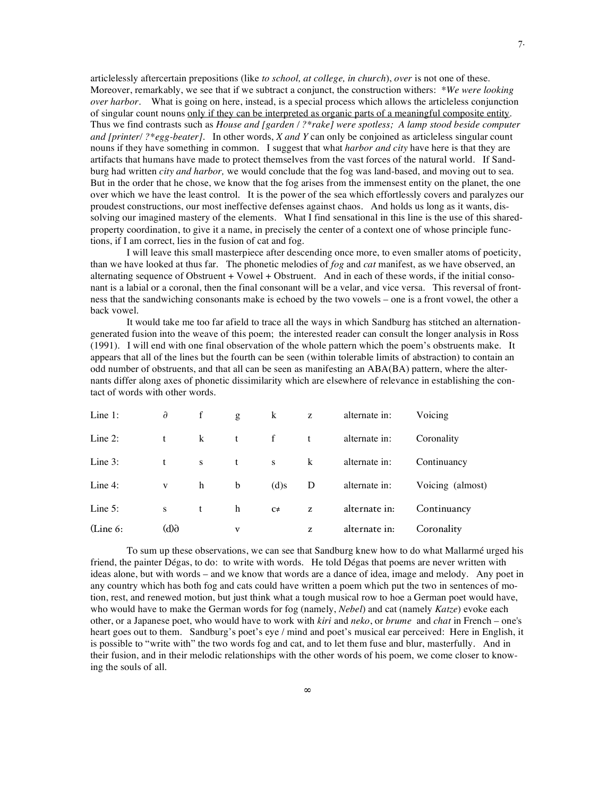articlelessly aftercertain prepositions (like *to school, at college, in church*), *over* is not one of these. Moreover, remarkably, we see that if we subtract a conjunct, the construction withers: *\*We were looking over harbor.* What is going on here, instead, is a special process which allows the articleless conjunction of singular count nouns only if they can be interpreted as organic parts of a meaningful composite entity. Thus we find contrasts such as *House and [garden / ?\*rake] were spotless; A lamp stood beside computer and [printer/ ?\*egg-beater].* In other words, *X and Y* can only be conjoined as articleless singular count nouns if they have something in common. I suggest that what *harbor and city* have here is that they are artifacts that humans have made to protect themselves from the vast forces of the natural world. If Sandburg had written *city and harbor,* we would conclude that the fog was land-based, and moving out to sea. But in the order that he chose, we know that the fog arises from the immensest entity on the planet, the one over which we have the least control. It is the power of the sea which effortlessly covers and paralyzes our proudest constructions, our most ineffective defenses against chaos. And holds us long as it wants, dissolving our imagined mastery of the elements. What I find sensational in this line is the use of this sharedproperty coordination, to give it a name, in precisely the center of a context one of whose principle functions, if I am correct, lies in the fusion of cat and fog.

I will leave this small masterpiece after descending once more, to even smaller atoms of poeticity, than we have looked at thus far. The phonetic melodies of *fog* and *cat* manifest, as we have observed, an alternating sequence of Obstruent  $+$  Vowel  $+$  Obstruent. And in each of these words, if the initial consonant is a labial or a coronal, then the final consonant will be a velar, and vice versa. This reversal of frontness that the sandwiching consonants make is echoed by the two vowels – one is a front vowel, the other a back vowel.

It would take me too far afield to trace all the ways in which Sandburg has stitched an alternationgenerated fusion into the weave of this poem; the interested reader can consult the longer analysis in Ross (1991). I will end with one final observation of the whole pattern which the poem's obstruents make. It appears that all of the lines but the fourth can be seen (within tolerable limits of abstraction) to contain an odd number of obstruents, and that all can be seen as manifesting an ABA(BA) pattern, where the alternants differ along axes of phonetic dissimilarity which are elsewhere of relevance in establishing the contact of words with other words.

| Line 1:            | $\partial$ | f            | g            | k            | Z       | alternate in: | Voicing          |
|--------------------|------------|--------------|--------------|--------------|---------|---------------|------------------|
| Line $2$ :         | t          | k            | t            | $\mathbf{f}$ | t       | alternate in: | Coronality       |
| Line $3$ :         | t          | <sub>S</sub> | t            | ${\bf S}$    | $\bf k$ | alternate in: | Continuancy      |
| Line $4$ :         | V          | h            | b            | $(d)$ s      | D       | alternate in: | Voicing (almost) |
| Line $5:$          | S          | t            | h            | $C\neq$      | z       | alternate in: | Continuancy      |
| $\lambda$ (Line 6: | 6(b)       |              | $\mathbf{v}$ |              | z       | alternate in: | Coronality       |

To sum up these observations, we can see that Sandburg knew how to do what Mallarmé urged his friend, the painter Dégas, to do: to write with words. He told Dégas that poems are never written with ideas alone, but with words – and we know that words are a dance of idea, image and melody. Any poet in any country which has both fog and cats could have written a poem which put the two in sentences of motion, rest, and renewed motion, but just think what a tough musical row to hoe a German poet would have, who would have to make the German words for fog (namely, *Nebel*) and cat (namely *Katze*) evoke each other, or a Japanese poet, who would have to work with *kiri* and *neko*, or *brume* and *chat* in French – one's heart goes out to them. Sandburg's poet's eye / mind and poet's musical ear perceived: Here in English, it is possible to "write with" the two words fog and cat, and to let them fuse and blur, masterfully. And in their fusion, and in their melodic relationships with the other words of his poem, we come closer to knowing the souls of all.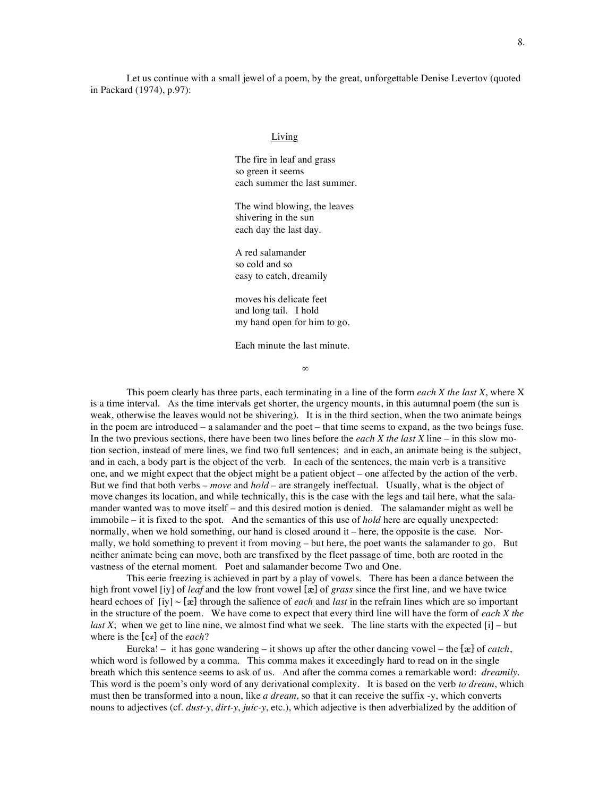Let us continue with a small jewel of a poem, by the great, unforgettable Denise Levertov (quoted in Packard (1974), p.97):

#### **Living**

The fire in leaf and grass so green it seems each summer the last summer.

The wind blowing, the leaves shivering in the sun each day the last day.

A red salamander so cold and so easy to catch, dreamily

moves his delicate feet and long tail. I hold my hand open for him to go.

Each minute the last minute.

∞

This poem clearly has three parts, each terminating in a line of the form *each X the last X*, where X is a time interval. As the time intervals get shorter, the urgency mounts, in this autumnal poem (the sun is weak, otherwise the leaves would not be shivering). It is in the third section, when the two animate beings in the poem are introduced – a salamander and the poet – that time seems to expand, as the two beings fuse. In the two previous sections, there have been two lines before the *each X the last X* line – in this slow motion section, instead of mere lines, we find two full sentences; and in each, an animate being is the subject, and in each, a body part is the object of the verb. In each of the sentences, the main verb is a transitive one, and we might expect that the object might be a patient object – one affected by the action of the verb. But we find that both verbs – *move* and *hold* – are strangely ineffectual. Usually, what is the object of move changes its location, and while technically, this is the case with the legs and tail here, what the salamander wanted was to move itself – and this desired motion is denied. The salamander might as well be immobile – it is fixed to the spot. And the semantics of this use of *hold* here are equally unexpected: normally, when we hold something, our hand is closed around it – here, the opposite is the case. Normally, we hold something to prevent it from moving – but here, the poet wants the salamander to go. But neither animate being can move, both are transfixed by the fleet passage of time, both are rooted in the vastness of the eternal moment. Poet and salamander become Two and One.

This eerie freezing is achieved in part by a play of vowels. There has been a dance between the high front vowel [iy] of *leaf* and the low front vowel [æ] of *grass* since the first line, and we have twice heard echoes of [iy] ~ [æ] through the salience of *each* and *last* in the refrain lines which are so important in the structure of the poem. We have come to expect that every third line will have the form of *each X the last X*; when we get to line nine, we almost find what we seek. The line starts with the expected [i] – but where is the [c≠] of the *each*?

Eureka! – it has gone wandering – it shows up after the other dancing vowel – the [æ] of *catch*, which word is followed by a comma. This comma makes it exceedingly hard to read on in the single breath which this sentence seems to ask of us. And after the comma comes a remarkable word: *dreamily*. This word is the poem's only word of any derivational complexity. It is based on the verb *to dream*, which must then be transformed into a noun, like *a dream*, so that it can receive the suffix -y, which converts nouns to adjectives (cf. *dust-y*, *dirt-y*, *juic-y*, etc.), which adjective is then adverbialized by the addition of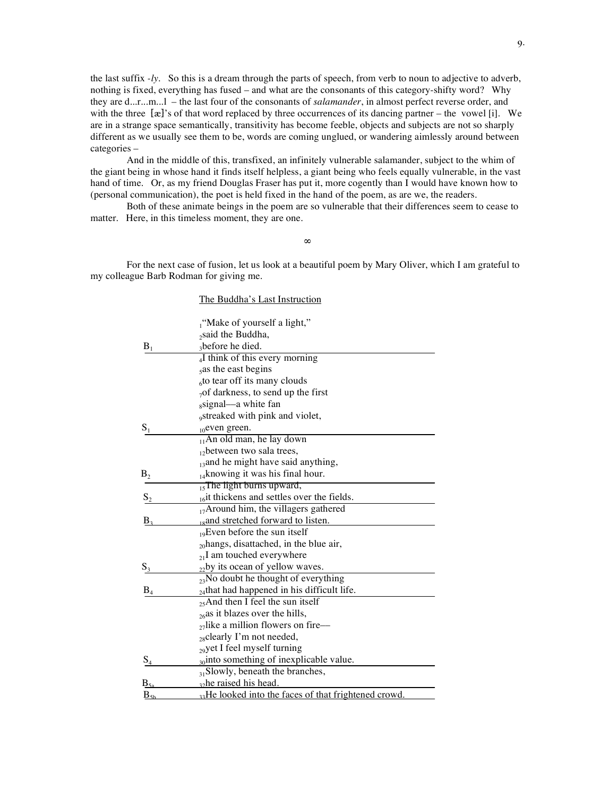the last suffix *-ly*. So this is a dream through the parts of speech, from verb to noun to adjective to adverb, nothing is fixed, everything has fused – and what are the consonants of this category-shifty word? Why they are d...r...m...l – the last four of the consonants of *salamander*, in almost perfect reverse order, and with the three  $[\mathbf{x}]$ 's of that word replaced by three occurrences of its dancing partner – the vowel [i]. We are in a strange space semantically, transitivity has become feeble, objects and subjects are not so sharply different as we usually see them to be, words are coming unglued, or wandering aimlessly around between categories –

And in the middle of this, transfixed, an infinitely vulnerable salamander, subject to the whim of the giant being in whose hand it finds itself helpless, a giant being who feels equally vulnerable, in the vast hand of time. Or, as my friend Douglas Fraser has put it, more cogently than I would have known how to (personal communication), the poet is held fixed in the hand of the poem, as are we, the readers.

Both of these animate beings in the poem are so vulnerable that their differences seem to cease to matter. Here, in this timeless moment, they are one.

**∞**

For the next case of fusion, let us look at a beautiful poem by Mary Oliver, which I am grateful to my colleague Barb Rodman for giving me.

|                 | The Buddha's Last Instruction                                    |  |  |  |  |  |
|-----------------|------------------------------------------------------------------|--|--|--|--|--|
|                 | $\mu$ "Make of yourself a light,"                                |  |  |  |  |  |
|                 | <sub>2</sub> said the Buddha,                                    |  |  |  |  |  |
| $B_1$           | abefore he died.                                                 |  |  |  |  |  |
|                 | 4I think of this every morning                                   |  |  |  |  |  |
|                 | sas the east begins                                              |  |  |  |  |  |
|                 | <sub>6</sub> to tear off its many clouds                         |  |  |  |  |  |
|                 | $_{7}$ of darkness, to send up the first                         |  |  |  |  |  |
|                 | ssignal—a white fan                                              |  |  |  |  |  |
|                 | <sub>9</sub> streaked with pink and violet,                      |  |  |  |  |  |
| $S_1$           | $_{10}$ even green.                                              |  |  |  |  |  |
|                 | <sub>11</sub> An old man, he lay down                            |  |  |  |  |  |
|                 | $_{12}$ between two sala trees,                                  |  |  |  |  |  |
|                 | $_{13}$ and he might have said anything,                         |  |  |  |  |  |
| $B_{2}$         | $_{14}$ knowing it was his final hour.                           |  |  |  |  |  |
|                 | $\frac{1}{15}$ The light burns upward,                           |  |  |  |  |  |
| $S_2$           | $_{16}$ it thickens and settles over the fields.                 |  |  |  |  |  |
|                 | <sub>17</sub> Around him, the villagers gathered                 |  |  |  |  |  |
| B <sub>2</sub>  | 18 and stretched forward to listen.                              |  |  |  |  |  |
|                 | $_{19}$ Even before the sun itself                               |  |  |  |  |  |
|                 | $_{20}$ hangs, disattached, in the blue air,                     |  |  |  |  |  |
|                 | $_{21}$ I am touched everywhere                                  |  |  |  |  |  |
| $S_3$           | $_{22}$ by its ocean of yellow waves.                            |  |  |  |  |  |
|                 | $_{23}$ No doubt he thought of everything                        |  |  |  |  |  |
| $B_4$           | $_{24}$ that had happened in his difficult life.                 |  |  |  |  |  |
|                 | $_{25}$ And then I feel the sun itself                           |  |  |  |  |  |
|                 | $_{26}$ as it blazes over the hills,                             |  |  |  |  |  |
|                 | $_{27}$ like a million flowers on fire--                         |  |  |  |  |  |
|                 | $_{28}$ clearly I'm not needed,                                  |  |  |  |  |  |
|                 | $_{29}$ yet I feel myself turning                                |  |  |  |  |  |
| $S_4$           | $_{30}$ into something of inexplicable value.                    |  |  |  |  |  |
|                 | $_{31}$ Slowly, beneath the branches,                            |  |  |  |  |  |
| $\rm B$         | <sub>32</sub> he raised his head.                                |  |  |  |  |  |
| $B_{\text{Sb}}$ | <sub>33</sub> He looked into the faces of that frightened crowd. |  |  |  |  |  |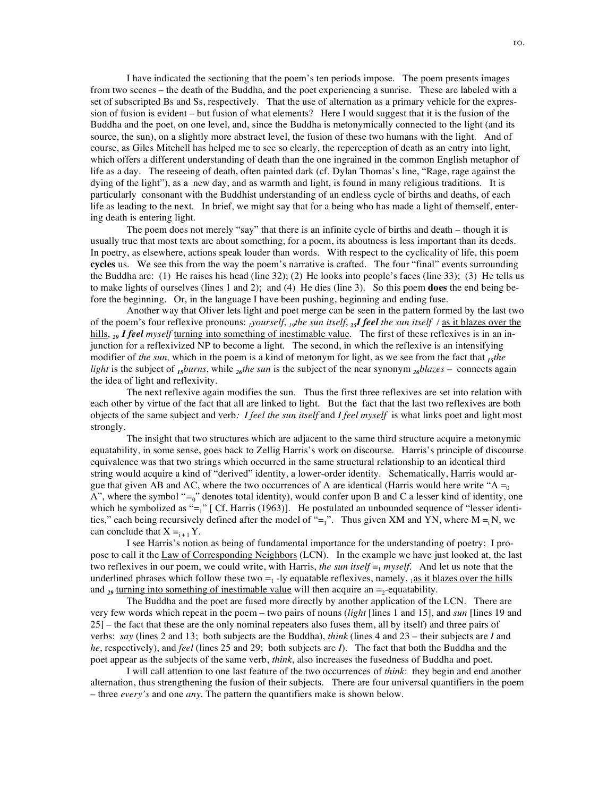I have indicated the sectioning that the poem's ten periods impose. The poem presents images from two scenes – the death of the Buddha, and the poet experiencing a sunrise. These are labeled with a set of subscripted Bs and Ss, respectively. That the use of alternation as a primary vehicle for the expression of fusion is evident – but fusion of what elements? Here I would suggest that it is the fusion of the Buddha and the poet, on one level, and, since the Buddha is metonymically connected to the light (and its source, the sun), on a slightly more abstract level, the fusion of these two humans with the light. And of course, as Giles Mitchell has helped me to see so clearly, the reperception of death as an entry into light, which offers a different understanding of death than the one ingrained in the common English metaphor of life as a day. The reseeing of death, often painted dark (cf. Dylan Thomas's line, "Rage, rage against the dying of the light"), as a new day, and as warmth and light, is found in many religious traditions. It is particularly consonant with the Buddhist understanding of an endless cycle of births and deaths, of each life as leading to the next. In brief, we might say that for a being who has made a light of themself, entering death is entering light.

The poem does not merely "say" that there is an infinite cycle of births and death – though it is usually true that most texts are about something, for a poem, its aboutness is less important than its deeds. In poetry, as elsewhere, actions speak louder than words. With respect to the cyclicality of life, this poem **cycles** us. We see this from the way the poem's narrative is crafted. The four "final" events surrounding the Buddha are: (1) He raises his head (line 32); (2) He looks into people's faces (line 33); (3) He tells us to make lights of ourselves (lines 1 and 2); and (4) He dies (line 3). So this poem **does** the end being before the beginning. Or, in the language I have been pushing, beginning and ending fuse.

Another way that Oliver lets light and poet merge can be seen in the pattern formed by the last two of the poem's four reflexive pronouns: *1yourself*, *19the sun itself*, *25I feel the sun itself /* as it blazes over the hills, *<sup>29</sup> I feel myself* turning into something of inestimable value. The first of these reflexives is in an injunction for a reflexivized NP to become a light. The second, in which the reflexive is an intensifying modifier of *the sun,* which in the poem is a kind of metonym for light, as we see from the fact that *<sup>15</sup>the light* is the subject of *<sup>15</sup>burns*, while *<sup>26</sup>the sun* is the subject of the near synonym *<sup>26</sup>blazes –* connects again the idea of light and reflexivity.

The next reflexive again modifies the sun. Thus the first three reflexives are set into relation with each other by virtue of the fact that all are linked to light. But the fact that the last two reflexives are both objects of the same subject and verb*: I feel the sun itself* and *I feel myself* is what links poet and light most strongly.

The insight that two structures which are adjacent to the same third structure acquire a metonymic equatability, in some sense, goes back to Zellig Harris's work on discourse. Harris's principle of discourse equivalence was that two strings which occurred in the same structural relationship to an identical third string would acquire a kind of "derived" identity, a lower-order identity. Schematically, Harris would argue that given AB and AC, where the two occurrences of A are identical (Harris would here write "A  $=_0$ A", where the symbol "*=*0" denotes total identity), would confer upon B and C a lesser kind of identity, one which he symbolized as " $=$ <sub>1</sub>" [ Cf, Harris (1963)]. He postulated an unbounded sequence of "lesser identities," each being recursively defined after the model of "=<sub>1</sub>". Thus given XM and YN, where  $M = iN$ , we can conclude that  $X =_{i+1} Y$ .

I see Harris's notion as being of fundamental importance for the understanding of poetry; I propose to call it the Law of Corresponding Neighbors (LCN). In the example we have just looked at, the last two reflexives in our poem, we could write, with Harris, *the sun itself*  $=$ <sub>1</sub> *myself*. And let us note that the underlined phrases which follow these two  $=1$ -ly equatable reflexives, namely,  $1a\sin\theta$  is it blazes over the hills and  $_{29}$  turning into something of inestimable value will then acquire an  $=$ -equatability.

The Buddha and the poet are fused more directly by another application of the LCN. There are very few words which repeat in the poem – two pairs of nouns (*light* [lines 1 and 15], and *sun* [lines 19 and 25] – the fact that these are the only nominal repeaters also fuses them, all by itself) and three pairs of verbs: *say* (lines 2 and 13; both subjects are the Buddha), *think* (lines 4 and 23 – their subjects are *I* and *he*, respectively), and *feel* (lines 25 and 29; both subjects are *I*). The fact that both the Buddha and the poet appear as the subjects of the same verb, *think*, also increases the fusedness of Buddha and poet.

I will call attention to one last feature of the two occurrences of *think*: they begin and end another alternation, thus strengthening the fusion of their subjects. There are four universal quantifiers in the poem – three *every's* and one *any*. The pattern the quantifiers make is shown below.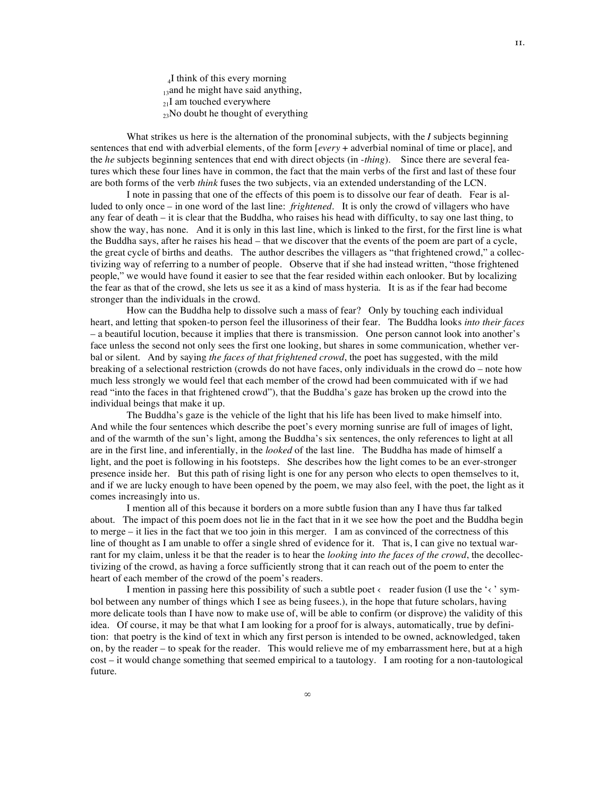4I think of this every morning  $<sub>13</sub>$ and he might have said anything,</sub>  $_{21}$ I am touched everywhere  $_{23}$ No doubt he thought of everything

What strikes us here is the alternation of the pronominal subjects, with the *I* subjects beginning sentences that end with adverbial elements, of the form [*every* + adverbial nominal of time or place], and the *he* subjects beginning sentences that end with direct objects (in -*thing*). Since there are several features which these four lines have in common, the fact that the main verbs of the first and last of these four are both forms of the verb *think* fuses the two subjects, via an extended understanding of the LCN.

I note in passing that one of the effects of this poem is to dissolve our fear of death. Fear is alluded to only once – in one word of the last line: *frightened*. It is only the crowd of villagers who have any fear of death – it is clear that the Buddha, who raises his head with difficulty, to say one last thing, to show the way, has none. And it is only in this last line, which is linked to the first, for the first line is what the Buddha says, after he raises his head – that we discover that the events of the poem are part of a cycle, the great cycle of births and deaths. The author describes the villagers as "that frightened crowd," a collectivizing way of referring to a number of people. Observe that if she had instead written, "those frightened people," we would have found it easier to see that the fear resided within each onlooker. But by localizing the fear as that of the crowd, she lets us see it as a kind of mass hysteria. It is as if the fear had become stronger than the individuals in the crowd.

How can the Buddha help to dissolve such a mass of fear? Only by touching each individual heart, and letting that spoken-to person feel the illusoriness of their fear. The Buddha looks *into their faces* – a beautiful locution, because it implies that there is transmission. One person cannot look into another's face unless the second not only sees the first one looking, but shares in some communication, whether verbal or silent. And by saying *the faces of that frightened crowd*, the poet has suggested, with the mild breaking of a selectional restriction (crowds do not have faces, only individuals in the crowd do – note how much less strongly we would feel that each member of the crowd had been commuicated with if we had read "into the faces in that frightened crowd"), that the Buddha's gaze has broken up the crowd into the individual beings that make it up.

The Buddha's gaze is the vehicle of the light that his life has been lived to make himself into. And while the four sentences which describe the poet's every morning sunrise are full of images of light, and of the warmth of the sun's light, among the Buddha's six sentences, the only references to light at all are in the first line, and inferentially, in the *looked* of the last line. The Buddha has made of himself a light, and the poet is following in his footsteps. She describes how the light comes to be an ever-stronger presence inside her. But this path of rising light is one for any person who elects to open themselves to it, and if we are lucky enough to have been opened by the poem, we may also feel, with the poet, the light as it comes increasingly into us.

I mention all of this because it borders on a more subtle fusion than any I have thus far talked about. The impact of this poem does not lie in the fact that in it we see how the poet and the Buddha begin to merge – it lies in the fact that we too join in this merger. I am as convinced of the correctness of this line of thought as I am unable to offer a single shred of evidence for it. That is, I can give no textual warrant for my claim, unless it be that the reader is to hear the *looking into the faces of the crowd*, the decollectivizing of the crowd, as having a force sufficiently strong that it can reach out of the poem to enter the heart of each member of the crowd of the poem's readers.

I mention in passing here this possibility of such a subtle poet  $\langle$  reader fusion (I use the  $\langle \cdot \rangle$  symbol between any number of things which I see as being fusees.), in the hope that future scholars, having more delicate tools than I have now to make use of, will be able to confirm (or disprove) the validity of this idea. Of course, it may be that what I am looking for a proof for is always, automatically, true by definition: that poetry is the kind of text in which any first person is intended to be owned, acknowledged, taken on, by the reader – to speak for the reader. This would relieve me of my embarrassment here, but at a high cost – it would change something that seemed empirical to a tautology. I am rooting for a non-tautological future.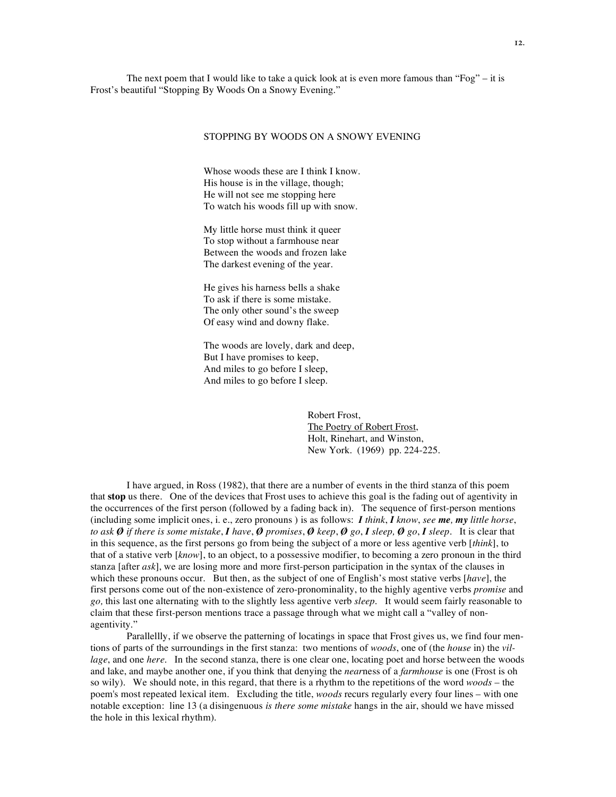The next poem that I would like to take a quick look at is even more famous than "Fog"  $-$  it is Frost's beautiful "Stopping By Woods On a Snowy Evening."

### STOPPING BY WOODS ON A SNOWY EVENING

Whose woods these are I think I know. His house is in the village, though; He will not see me stopping here To watch his woods fill up with snow.

My little horse must think it queer To stop without a farmhouse near Between the woods and frozen lake The darkest evening of the year.

He gives his harness bells a shake To ask if there is some mistake. The only other sound's the sweep Of easy wind and downy flake.

The woods are lovely, dark and deep, But I have promises to keep, And miles to go before I sleep, And miles to go before I sleep.

> Robert Frost, The Poetry of Robert Frost, Holt, Rinehart, and Winston, New York. (1969) pp. 224-225.

I have argued, in Ross (1982), that there are a number of events in the third stanza of this poem that **stop** us there. One of the devices that Frost uses to achieve this goal is the fading out of agentivity in the occurrences of the first person (followed by a fading back in). The sequence of first-person mentions (including some implicit ones, i. e., zero pronouns ) is as follows: *I think*, *I know*, *see me, my little horse*, to ask  $\emptyset$  if there is some mistake, I have,  $\emptyset$  promises,  $\emptyset$  keep,  $\emptyset$  go, I sleep,  $\emptyset$  go, I sleep. It is clear that in this sequence, as the first persons go from being the subject of a more or less agentive verb [*think*], to that of a stative verb [*know*], to an object, to a possessive modifier, to becoming a zero pronoun in the third stanza [after *ask*], we are losing more and more first-person participation in the syntax of the clauses in which these pronouns occur. But then, as the subject of one of English's most stative verbs [*have*], the first persons come out of the non-existence of zero-pronominality, to the highly agentive verbs *promise* and *go,* this last one alternating with to the slightly less agentive verb *sleep*. It would seem fairly reasonable to claim that these first-person mentions trace a passage through what we might call a "valley of nonagentivity."

Parallellly, if we observe the patterning of locatings in space that Frost gives us, we find four mentions of parts of the surroundings in the first stanza: two mentions of *woods*, one of (the *house* in) the *village*, and one *here*. In the second stanza, there is one clear one, locating poet and horse between the woods and lake, and maybe another one, if you think that denying the *near*ness of a *farmhouse* is one (Frost is oh so wily). We should note, in this regard, that there is a rhythm to the repetitions of the word *woods* – the poem's most repeated lexical item. Excluding the title, *woods* recurs regularly every four lines – with one notable exception: line 13 (a disingenuous *is there some mistake* hangs in the air, should we have missed the hole in this lexical rhythm).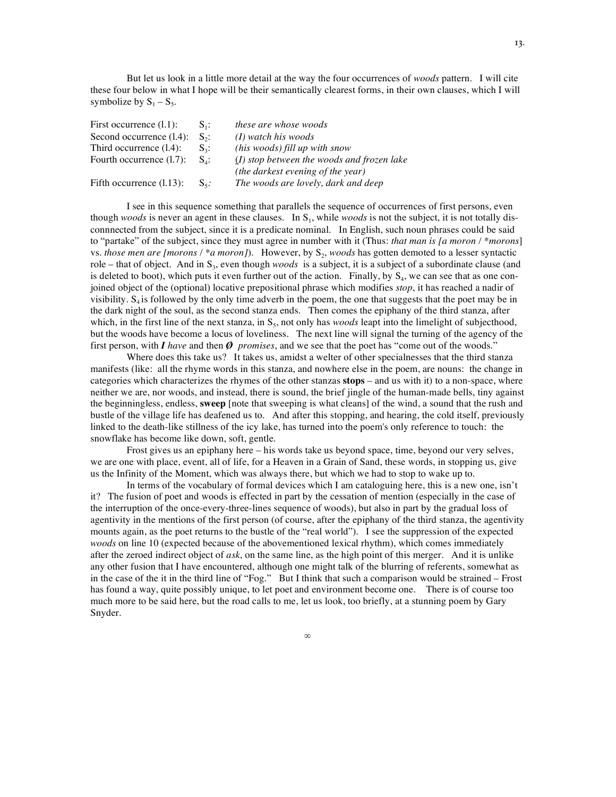But let us look in a little more detail at the way the four occurrences of *woods* pattern. I will cite these four below in what I hope will be their semantically clearest forms, in their own clauses, which I will symbolize by  $S_1 - S_5$ .

| First occurrence $(1.1)$ :  | $S_{1}$ :           | these are whose woods                        |
|-----------------------------|---------------------|----------------------------------------------|
| Second occurrence $(1.4)$ : | $S_{2}$ :           | $(I)$ watch his woods                        |
| Third occurrence $(1.4)$ :  | $S_{2}$ :           | (his woods) fill up with snow                |
| Fourth occurrence (1.7):    | $S_{4}$ :           | $(I)$ stop between the woods and frozen lake |
|                             |                     | (the darkest evening of the year)            |
| Fifth occurrence $(1.13)$ : | $S_{\varepsilon}$ : | The woods are lovely, dark and deep          |

I see in this sequence something that parallels the sequence of occurrences of first persons, even though *woods* is never an agent in these clauses. In S<sub>1</sub>, while *woods* is not the subject, it is not totally disconnnected from the subject, since it is a predicate nominal. In English, such noun phrases could be said to "partake" of the subject, since they must agree in number with it (Thus: *that man is [a moron / \*morons*] vs. *those men are [morons* / \**a moron]*). However, by S<sub>2</sub>, *woods* has gotten demoted to a lesser syntactic role – that of object. And in S<sub>3</sub>, even though *woods* is a subject, it is a subject of a subordinate clause (and is deleted to boot), which puts it even further out of the action. Finally, by  $S_4$ , we can see that as one conjoined object of the (optional) locative prepositional phrase which modifies *stop*, it has reached a nadir of visibility.  $S<sub>4</sub>$  is followed by the only time adverb in the poem, the one that suggests that the poet may be in the dark night of the soul, as the second stanza ends. Then comes the epiphany of the third stanza, after which, in the first line of the next stanza, in  $S_5$ , not only has *woods* leapt into the limelight of subjecthood, but the woods have become a locus of loveliness. The next line will signal the turning of the agency of the first person, with *I have* and then *Ø promises*, and we see that the poet has "come out of the woods."

Where does this take us? It takes us, amidst a welter of other specialnesses that the third stanza manifests (like: all the rhyme words in this stanza, and nowhere else in the poem, are nouns: the change in categories which characterizes the rhymes of the other stanzas **stops** – and us with it) to a non-space, where neither we are, nor woods, and instead, there is sound, the brief jingle of the human-made bells, tiny against the beginningless, endless, **sweep** [note that sweeping is what cleans] of the wind, a sound that the rush and bustle of the village life has deafened us to. And after this stopping, and hearing, the cold itself, previously linked to the death-like stillness of the icy lake, has turned into the poem's only reference to touch: the snowflake has become like down, soft, gentle.

Frost gives us an epiphany here – his words take us beyond space, time, beyond our very selves, we are one with place, event, all of life, for a Heaven in a Grain of Sand, these words, in stopping us, give us the Infinity of the Moment, which was always there, but which we had to stop to wake up to.

In terms of the vocabulary of formal devices which I am cataloguing here, this is a new one, isn't it? The fusion of poet and woods is effected in part by the cessation of mention (especially in the case of the interruption of the once-every-three-lines sequence of woods), but also in part by the gradual loss of agentivity in the mentions of the first person (of course, after the epiphany of the third stanza, the agentivity mounts again, as the poet returns to the bustle of the "real world"). I see the suppression of the expected *woods* on line 10 (expected because of the abovementioned lexical rhythm), which comes immediately after the zeroed indirect object of *ask*, on the same line, as the high point of this merger. And it is unlike any other fusion that I have encountered, although one might talk of the blurring of referents, somewhat as in the case of the it in the third line of "Fog." But I think that such a comparison would be strained – Frost has found a way, quite possibly unique, to let poet and environment become one. There is of course too much more to be said here, but the road calls to me, let us look, too briefly, at a stunning poem by Gary Snyder.

∞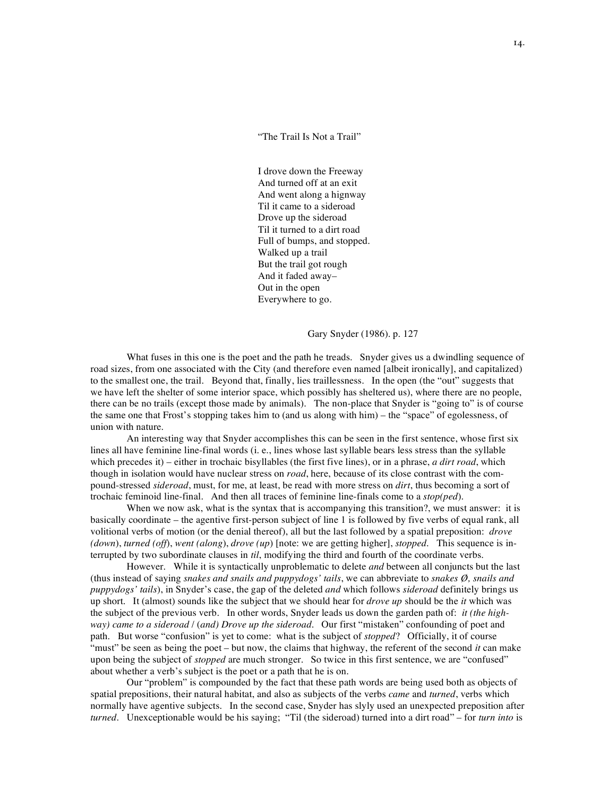"The Trail Is Not a Trail"

I drove down the Freeway And turned off at an exit And went along a hignway Til it came to a sideroad Drove up the sideroad Til it turned to a dirt road Full of bumps, and stopped. Walked up a trail But the trail got rough And it faded away– Out in the open Everywhere to go.

Gary Snyder (1986). p. 127

What fuses in this one is the poet and the path he treads. Snyder gives us a dwindling sequence of road sizes, from one associated with the City (and therefore even named [albeit ironically], and capitalized) to the smallest one, the trail. Beyond that, finally, lies traillessness. In the open (the "out" suggests that we have left the shelter of some interior space, which possibly has sheltered us), where there are no people, there can be no trails (except those made by animals). The non-place that Snyder is "going to" is of course the same one that Frost's stopping takes him to (and us along with him) – the "space" of egolessness, of union with nature.

An interesting way that Snyder accomplishes this can be seen in the first sentence, whose first six lines all have feminine line-final words (i. e., lines whose last syllable bears less stress than the syllable which precedes it) – either in trochaic bisyllables (the first five lines), or in a phrase, *a dirt road*, which though in isolation would have nuclear stress on *road*, here, because of its close contrast with the compound-stressed *sideroad*, must, for me, at least, be read with more stress on *dirt*, thus becoming a sort of trochaic feminoid line-final. And then all traces of feminine line-finals come to a *stop(ped*).

When we now ask, what is the syntax that is accompanying this transition?, we must answer: it is basically coordinate – the agentive first-person subject of line 1 is followed by five verbs of equal rank, all volitional verbs of motion (or the denial thereof), all but the last followed by a spatial preposition: *drove (down*), *turned (off*), *went (along*), *drove (up*) [note: we are getting higher], *stopped*. This sequence is interrupted by two subordinate clauses in *til*, modifying the third and fourth of the coordinate verbs.

However. While it is syntactically unproblematic to delete *and* between all conjuncts but the last (thus instead of saying *snakes and snails and puppydogs' tails*, we can abbreviate to *snakes Ø, snails and puppydogs' tails*), in Snyder's case, the gap of the deleted *and* which follows *sideroad* definitely brings us up short. It (almost) sounds like the subject that we should hear for *drove up* should be the *it* which was the subject of the previous verb. In other words, Snyder leads us down the garden path of: *it (the highway) came to a sideroad* / (*and) Drove up the sideroad*. Our first "mistaken" confounding of poet and path. But worse "confusion" is yet to come: what is the subject of *stopped*? Officially, it of course "must" be seen as being the poet – but now, the claims that highway, the referent of the second *it* can make upon being the subject of *stopped* are much stronger. So twice in this first sentence, we are "confused" about whether a verb's subject is the poet or a path that he is on.

Our "problem" is compounded by the fact that these path words are being used both as objects of spatial prepositions, their natural habitat, and also as subjects of the verbs *came* and *turned*, verbs which normally have agentive subjects. In the second case, Snyder has slyly used an unexpected preposition after *turned*. Unexceptionable would be his saying; "Til (the sideroad) turned into a dirt road" – for *turn into* is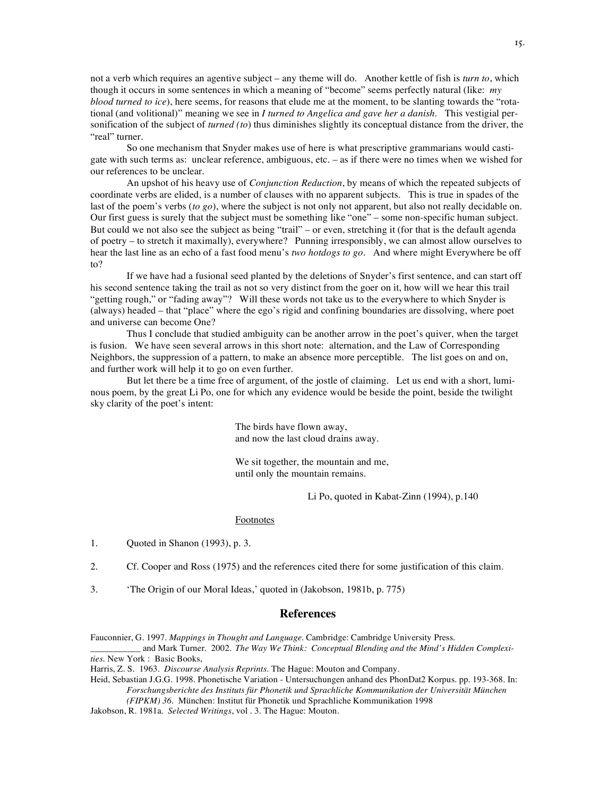not a verb which requires an agentive subject – any theme will do. Another kettle of fish is *turn to*, which though it occurs in some sentences in which a meaning of "become" seems perfectly natural (like: *my blood turned to ice*), here seems, for reasons that elude me at the moment, to be slanting towards the "rotational (and volitional)" meaning we see in *I turned to Angelica and gave her a danish.* This vestigial personification of the subject of *turned (to*) thus diminishes slightly its conceptual distance from the driver, the "real" turner.

So one mechanism that Snyder makes use of here is what prescriptive grammarians would castigate with such terms as: unclear reference, ambiguous, etc. – as if there were no times when we wished for our references to be unclear.

An upshot of his heavy use of *Conjunction Reduction*, by means of which the repeated subjects of coordinate verbs are elided, is a number of clauses with no apparent subjects. This is true in spades of the last of the poem's verbs (*to go*), where the subject is not only not apparent, but also not really decidable on. Our first guess is surely that the subject must be something like "one" – some non-specific human subject. But could we not also see the subject as being "trail" – or even, stretching it (for that is the default agenda of poetry – to stretch it maximally), everywhere? Punning irresponsibly, we can almost allow ourselves to hear the last line as an echo of a fast food menu's *two hotdogs to go*. And where might Everywhere be off to?

If we have had a fusional seed planted by the deletions of Snyder's first sentence, and can start off his second sentence taking the trail as not so very distinct from the goer on it, how will we hear this trail "getting rough," or "fading away"? Will these words not take us to the everywhere to which Snyder is (always) headed – that "place" where the ego's rigid and confining boundaries are dissolving, where poet and universe can become One?

Thus I conclude that studied ambiguity can be another arrow in the poet's quiver, when the target is fusion. We have seen several arrows in this short note: alternation, and the Law of Corresponding Neighbors, the suppression of a pattern, to make an absence more perceptible. The list goes on and on, and further work will help it to go on even further.

But let there be a time free of argument, of the jostle of claiming. Let us end with a short, luminous poem, by the great Li Po, one for which any evidence would be beside the point, beside the twilight sky clarity of the poet's intent:

> The birds have flown away, and now the last cloud drains away.

We sit together, the mountain and me, until only the mountain remains.

Li Po, quoted in Kabat-Zinn (1994), p.140

#### Footnotes

- 1. Quoted in Shanon (1993), p. 3.
- 2. Cf. Cooper and Ross (1975) and the references cited there for some justification of this claim.
- 3. 'The Origin of our Moral Ideas,' quoted in (Jakobson, 1981b, p. 775)

# **References**

Fauconnier, G. 1997. *Mappings in Thought and Language*. Cambridge: Cambridge University Press. \_\_\_\_\_\_\_\_\_\_\_ and Mark Turner. 2002. *The Way We Think: Conceptual Blending and the Mind's Hidden Complexi-*

*ties.* New York : Basic Books,

Heid, Sebastian J.G.G. 1998. Phonetische Variation - Untersuchungen anhand des PhonDat2 Korpus. pp. 193-368. In: *Forschungsberichte des Instituts für Phonetik und Sprachliche Kommunikation der Universität München*

*(FIPKM) 36*. München: Institut für Phonetik und Sprachliche Kommunikation 1998

Jakobson, R. 1981a. *Selected Writings*, vol . 3. The Hague: Mouton.

Harris, Z. S. 1963. *Discourse Analysis Reprints*. The Hague: Mouton and Company.